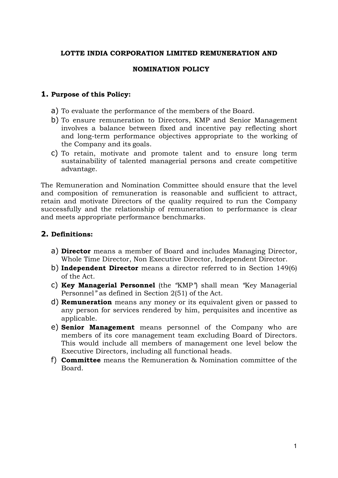## **LOTTE INDIA CORPORATION LIMITED REMUNERATION AND**

#### **NOMINATION POLICY**

#### **1. Purpose of this Policy:**

- a) To evaluate the performance of the members of the Board.
- b) To ensure remuneration to Directors, KMP and Senior Management involves a balance between fixed and incentive pay reflecting short and long-term performance objectives appropriate to the working of the Company and its goals.
- c) To retain, motivate and promote talent and to ensure long term sustainability of talented managerial persons and create competitive advantage.

The Remuneration and Nomination Committee should ensure that the level and composition of remuneration is reasonable and sufficient to attract, retain and motivate Directors of the quality required to run the Company successfully and the relationship of remuneration to performance is clear and meets appropriate performance benchmarks.

## **2. Definitions:**

- a) **Director** means a member of Board and includes Managing Director, Whole Time Director, Non Executive Director, Independent Director.
- b) **Independent Director** means a director referred to in Section 149(6) of the Act.
- c) **Key Managerial Personnel** (the *"*KMP*"*) shall mean *"*Key Managerial Personnel*"* as defined in Section 2(51) of the Act.
- d) **Remuneration** means any money or its equivalent given or passed to any person for services rendered by him, perquisites and incentive as applicable.
- e) **Senior Management** means personnel of the Company who are members of its core management team excluding Board of Directors. This would include all members of management one level below the Executive Directors, including all functional heads.
- f) **Committee** means the Remuneration & Nomination committee of the Board.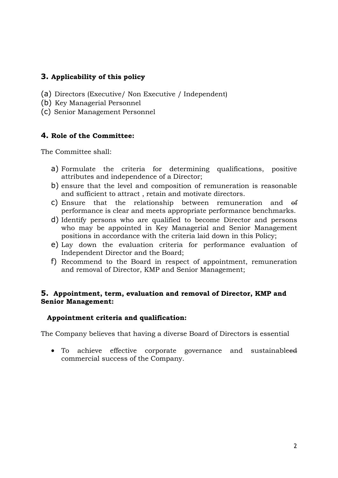# **3. Applicability of this policy**

- (a) Directors (Executive/ Non Executive / Independent)
- (b) Key Managerial Personnel
- (c) Senior Management Personnel

# **4. Role of the Committee:**

The Committee shall:

- a) Formulate the criteria for determining qualifications, positive attributes and independence of a Director;
- b) ensure that the level and composition of remuneration is reasonable and sufficient to attract , retain and motivate directors.
- c) Ensure that the relationship between remuneration and of performance is clear and meets appropriate performance benchmarks.
- d) Identify persons who are qualified to become Director and persons who may be appointed in Key Managerial and Senior Management positions in accordance with the criteria laid down in this Policy;
- e) Lay down the evaluation criteria for performance evaluation of Independent Director and the Board;
- f) Recommend to the Board in respect of appointment, remuneration and removal of Director, KMP and Senior Management;

## **5. Appointment, term, evaluation and removal of Director, KMP and Senior Management:**

#### **Appointment criteria and qualification:**

The Company believes that having a diverse Board of Directors is essential

• To achieve effective corporate governance and sustainableed commercial success of the Company.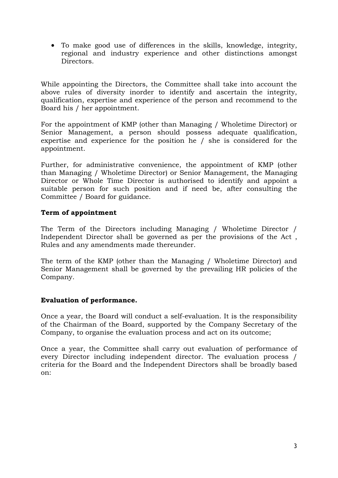To make good use of differences in the skills, knowledge, integrity, regional and industry experience and other distinctions amongst Directors.

While appointing the Directors, the Committee shall take into account the above rules of diversity inorder to identify and ascertain the integrity, qualification, expertise and experience of the person and recommend to the Board his / her appointment.

For the appointment of KMP (other than Managing / Wholetime Director) or Senior Management, a person should possess adequate qualification, expertise and experience for the position he / she is considered for the appointment.

Further, for administrative convenience, the appointment of KMP (other than Managing / Wholetime Director) or Senior Management, the Managing Director or Whole Time Director is authorised to identify and appoint a suitable person for such position and if need be, after consulting the Committee / Board for guidance.

## **Term of appointment**

The Term of the Directors including Managing / Wholetime Director / Independent Director shall be governed as per the provisions of the Act , Rules and any amendments made thereunder.

The term of the KMP (other than the Managing / Wholetime Director) and Senior Management shall be governed by the prevailing HR policies of the Company.

# **Evaluation of performance.**

Once a year, the Board will conduct a self-evaluation. It is the responsibility of the Chairman of the Board, supported by the Company Secretary of the Company, to organise the evaluation process and act on its outcome;

Once a year, the Committee shall carry out evaluation of performance of every Director including independent director. The evaluation process / criteria for the Board and the Independent Directors shall be broadly based on: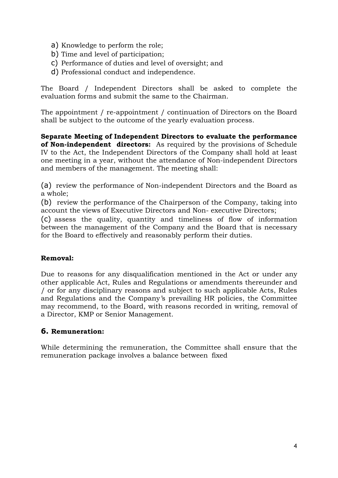- a) Knowledge to perform the role;
- b) Time and level of participation;
- c) Performance of duties and level of oversight; and
- d) Professional conduct and independence.

The Board / Independent Directors shall be asked to complete the evaluation forms and submit the same to the Chairman.

The appointment / re-appointment / continuation of Directors on the Board shall be subject to the outcome of the yearly evaluation process.

**Separate Meeting of Independent Directors to evaluate the performance of Non-independent directors:** As required by the provisions of Schedule IV to the Act, the Independent Directors of the Company shall hold at least one meeting in a year, without the attendance of Non-independent Directors and members of the management. The meeting shall:

(a) review the performance of Non-independent Directors and the Board as a whole;

(b) review the performance of the Chairperson of the Company, taking into account the views of Executive Directors and Non- executive Directors;

(c) assess the quality, quantity and timeliness of flow of information between the management of the Company and the Board that is necessary for the Board to effectively and reasonably perform their duties.

# **Removal:**

Due to reasons for any disqualification mentioned in the Act or under any other applicable Act, Rules and Regulations or amendments thereunder and / or for any disciplinary reasons and subject to such applicable Acts, Rules and Regulations and the Company*'*s prevailing HR policies, the Committee may recommend, to the Board, with reasons recorded in writing, removal of a Director, KMP or Senior Management.

# **6. Remuneration:**

While determining the remuneration, the Committee shall ensure that the remuneration package involves a balance between fixed